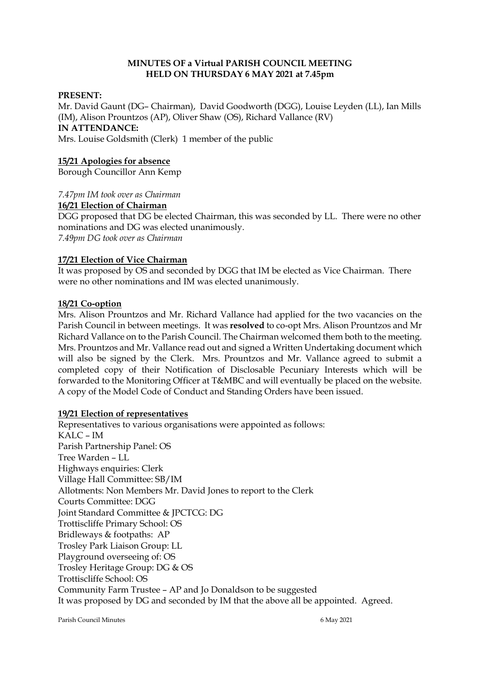## **MINUTES OF a Virtual PARISH COUNCIL MEETING HELD ON THURSDAY 6 MAY 2021 at 7.45pm**

### **PRESENT:**

Mr. David Gaunt (DG– Chairman), David Goodworth (DGG), Louise Leyden (LL), Ian Mills (IM), Alison Prountzos (AP), Oliver Shaw (OS), Richard Vallance (RV) **IN ATTENDANCE:**  Mrs. Louise Goldsmith (Clerk) 1 member of the public

### **15/21 Apologies for absence**

Borough Councillor Ann Kemp

#### *7.47pm IM took over as Chairman*

#### **16/21 Election of Chairman**

DGG proposed that DG be elected Chairman, this was seconded by LL. There were no other nominations and DG was elected unanimously. *7.49pm DG took over as Chairman*

#### **17/21 Election of Vice Chairman**

It was proposed by OS and seconded by DGG that IM be elected as Vice Chairman. There were no other nominations and IM was elected unanimously.

#### **18/21 Co-option**

Mrs. Alison Prountzos and Mr. Richard Vallance had applied for the two vacancies on the Parish Council in between meetings. It was **resolved** to co-opt Mrs. Alison Prountzos and Mr Richard Vallance on to the Parish Council. The Chairman welcomed them both to the meeting. Mrs. Prountzos and Mr. Vallance read out and signed a Written Undertaking document which will also be signed by the Clerk. Mrs. Prountzos and Mr. Vallance agreed to submit a completed copy of their Notification of Disclosable Pecuniary Interests which will be forwarded to the Monitoring Officer at T&MBC and will eventually be placed on the website. A copy of the Model Code of Conduct and Standing Orders have been issued.

## **19/21 Election of representatives**

Representatives to various organisations were appointed as follows: KALC – IM Parish Partnership Panel: OS Tree Warden – LL Highways enquiries: Clerk Village Hall Committee: SB/IM Allotments: Non Members Mr. David Jones to report to the Clerk Courts Committee: DGG Joint Standard Committee & JPCTCG: DG Trottiscliffe Primary School: OS Bridleways & footpaths: AP Trosley Park Liaison Group: LL Playground overseeing of: OS Trosley Heritage Group: DG & OS Trottiscliffe School: OS Community Farm Trustee – AP and Jo Donaldson to be suggested It was proposed by DG and seconded by IM that the above all be appointed. Agreed.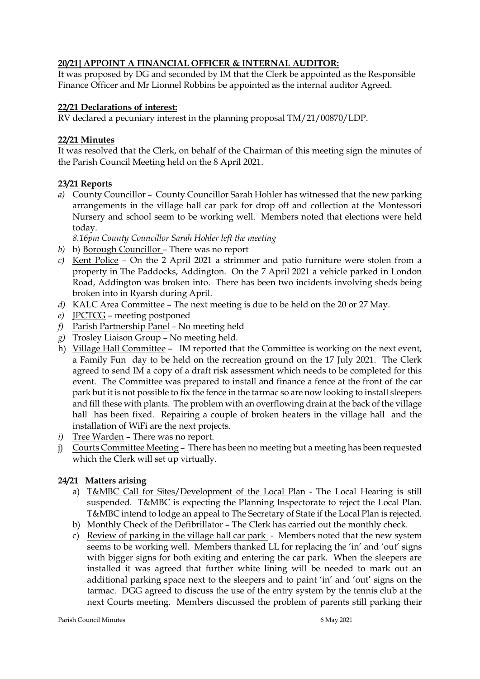# **20/21] APPOINT A FINANCIAL OFFICER & INTERNAL AUDITOR:**

It was proposed by DG and seconded by IM that the Clerk be appointed as the Responsible Finance Officer and Mr Lionnel Robbins be appointed as the internal auditor Agreed.

## **22/21 Declarations of interest:**

RV declared a pecuniary interest in the planning proposal TM/21/00870/LDP.

## **22/21 Minutes**

It was resolved that the Clerk, on behalf of the Chairman of this meeting sign the minutes of the Parish Council Meeting held on the 8 April 2021.

## **23/21 Reports**

*a)* County Councillor – County Councillor Sarah Hohler has witnessed that the new parking arrangements in the village hall car park for drop off and collection at the Montessori Nursery and school seem to be working well. Members noted that elections were held today.

*8.16pm County Councillor Sarah Hohler left the meeting*

- *b)* b) Borough Councillor There was no report
- *c)* Kent Police On the 2 April 2021 a strimmer and patio furniture were stolen from a property in The Paddocks, Addington. On the 7 April 2021 a vehicle parked in London Road, Addington was broken into. There has been two incidents involving sheds being broken into in Ryarsh during April.
- *d)* KALC Area Committee The next meeting is due to be held on the 20 or 27 May.
- *e)* JPCTCG meeting postponed
- *f)* Parish Partnership Panel No meeting held
- *g)* Trosley Liaison Group No meeting held.
- h) Village Hall Committee IM reported that the Committee is working on the next event, a Family Fun day to be held on the recreation ground on the 17 July 2021. The Clerk agreed to send IM a copy of a draft risk assessment which needs to be completed for this event. The Committee was prepared to install and finance a fence at the front of the car park but it is not possible to fix the fence in the tarmac so are now looking to install sleepers and fill these with plants. The problem with an overflowing drain at the back of the village hall has been fixed. Repairing a couple of broken heaters in the village hall and the installation of WiFi are the next projects.
- *i)* Tree Warden There was no report.
- j) Courts Committee Meeting There has been no meeting but a meeting has been requested which the Clerk will set up virtually.

## **24/21 Matters arising**

- a) T&MBC Call for Sites/Development of the Local Plan The Local Hearing is still suspended. T&MBC is expecting the Planning Inspectorate to reject the Local Plan. T&MBC intend to lodge an appeal to The Secretary of State if the Local Plan is rejected.
- b) Monthly Check of the Defibrillator The Clerk has carried out the monthly check.
- c) Review of parking in the village hall car park Members noted that the new system seems to be working well. Members thanked LL for replacing the 'in' and 'out' signs with bigger signs for both exiting and entering the car park. When the sleepers are installed it was agreed that further white lining will be needed to mark out an additional parking space next to the sleepers and to paint 'in' and 'out' signs on the tarmac. DGG agreed to discuss the use of the entry system by the tennis club at the next Courts meeting. Members discussed the problem of parents still parking their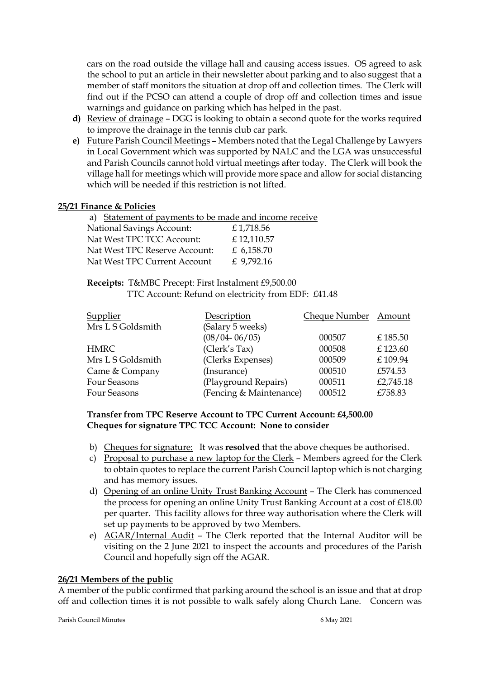cars on the road outside the village hall and causing access issues. OS agreed to ask the school to put an article in their newsletter about parking and to also suggest that a member of staff monitors the situation at drop off and collection times. The Clerk will find out if the PCSO can attend a couple of drop off and collection times and issue warnings and guidance on parking which has helped in the past.

- **d)** Review of drainage DGG is looking to obtain a second quote for the works required to improve the drainage in the tennis club car park.
- **e)** Future Parish Council Meetings Members noted that the Legal Challenge by Lawyers in Local Government which was supported by NALC and the LGA was unsuccessful and Parish Councils cannot hold virtual meetings after today. The Clerk will book the village hall for meetings which will provide more space and allow for social distancing which will be needed if this restriction is not lifted.

#### **25/21 Finance & Policies**

| a) Statement of payments to be made and income receive |              |
|--------------------------------------------------------|--------------|
| <b>National Savings Account:</b>                       | £1,718.56    |
| Nat West TPC TCC Account:                              | £12,110.57   |
| Nat West TPC Reserve Account:                          | £ 6,158.70   |
| Nat West TPC Current Account                           | £ $9,792.16$ |

#### **Receipts:** T&MBC Precept: First Instalment £9,500.00 TTC Account: Refund on electricity from EDF: £41.48

| <b>Supplier</b>   | Description             | Cheque Number Amount |           |
|-------------------|-------------------------|----------------------|-----------|
| Mrs L S Goldsmith | (Salary 5 weeks)        |                      |           |
|                   | $(08/04 - 06/05)$       | 000507               | £185.50   |
| <b>HMRC</b>       | (Clerk's Tax)           | 000508               | £123.60   |
| Mrs L S Goldsmith | (Clerks Expenses)       | 000509               | £109.94   |
| Came & Company    | (Insurance)             | 000510               | £574.53   |
| Four Seasons      | (Playground Repairs)    | 000511               | £2,745.18 |
| Four Seasons      | (Fencing & Maintenance) | 000512               | £758.83   |

#### **Transfer from TPC Reserve Account to TPC Current Account: £4,500.00 Cheques for signature TPC TCC Account: None to consider**

- b) Cheques for signature: It was **resolved** that the above cheques be authorised.
- c) Proposal to purchase a new laptop for the Clerk Members agreed for the Clerk to obtain quotes to replace the current Parish Council laptop which is not charging and has memory issues.
- d) Opening of an online Unity Trust Banking Account The Clerk has commenced the process for opening an online Unity Trust Banking Account at a cost of £18.00 per quarter. This facility allows for three way authorisation where the Clerk will set up payments to be approved by two Members.
- e) AGAR/Internal Audit The Clerk reported that the Internal Auditor will be visiting on the 2 June 2021 to inspect the accounts and procedures of the Parish Council and hopefully sign off the AGAR.

#### **26/21 Members of the public**

A member of the public confirmed that parking around the school is an issue and that at drop off and collection times it is not possible to walk safely along Church Lane. Concern was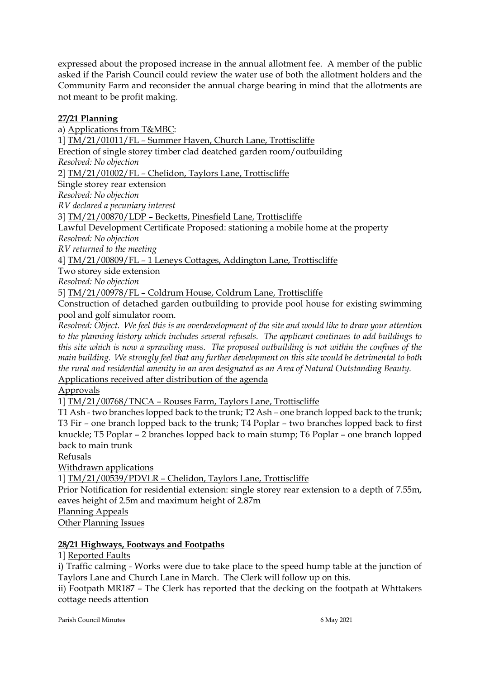expressed about the proposed increase in the annual allotment fee. A member of the public asked if the Parish Council could review the water use of both the allotment holders and the Community Farm and reconsider the annual charge bearing in mind that the allotments are not meant to be profit making.

# **27/21 Planning**

a) Applications from T&MBC: 1] TM/21/01011/FL – Summer Haven, Church Lane, Trottiscliffe Erection of single storey timber clad deatched garden room/outbuilding *Resolved: No objection* 2] TM/21/01002/FL – Chelidon, Taylors Lane, Trottiscliffe Single storey rear extension *Resolved: No objection RV declared a pecuniary interest*  3] TM/21/00870/LDP – Becketts, Pinesfield Lane, Trottiscliffe Lawful Development Certificate Proposed: stationing a mobile home at the property *Resolved: No objection RV returned to the meeting*  4] TM/21/00809/FL – 1 Leneys Cottages, Addington Lane, Trottiscliffe

Two storey side extension

*Resolved: No objection*

5] TM/21/00978/FL – Coldrum House, Coldrum Lane, Trottiscliffe

Construction of detached garden outbuilding to provide pool house for existing swimming pool and golf simulator room.

*Resolved: Object. We feel this is an overdevelopment of the site and would like to draw your attention to the planning history which includes several refusals. The applicant continues to add buildings to this site which is now a sprawling mass. The proposed outbuilding is not within the confines of the main building. We strongly feel that any further development on this site would be detrimental to both the rural and residential amenity in an area designated as an Area of Natural Outstanding Beauty.*  Applications received after distribution of the agenda

Approvals

1] TM/21/00768/TNCA – Rouses Farm, Taylors Lane, Trottiscliffe

T1 Ash - two branches lopped back to the trunk; T2 Ash – one branch lopped back to the trunk; T3 Fir – one branch lopped back to the trunk; T4 Poplar – two branches lopped back to first knuckle; T5 Poplar – 2 branches lopped back to main stump; T6 Poplar – one branch lopped back to main trunk

Refusals

Withdrawn applications

1] TM/21/00539/PDVLR – Chelidon, Taylors Lane, Trottiscliffe

Prior Notification for residential extension: single storey rear extension to a depth of 7.55m, eaves height of 2.5m and maximum height of 2.87m

Planning Appeals

Other Planning Issues

## **28/21 Highways, Footways and Footpaths**

1] Reported Faults

i) Traffic calming - Works were due to take place to the speed hump table at the junction of Taylors Lane and Church Lane in March. The Clerk will follow up on this.

ii) Footpath MR187 – The Clerk has reported that the decking on the footpath at Whttakers cottage needs attention